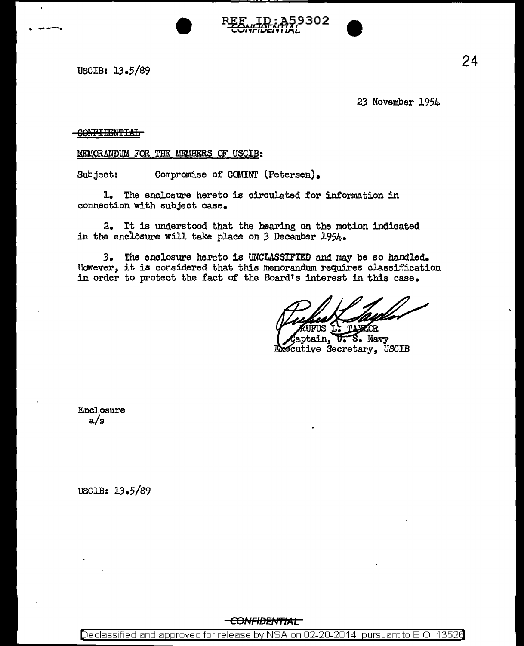USCIB: 13.5/89

23 November 1954

# **GONFIBBNTIAL**

### MEMORANDUM FOR THE MEMBERS OF USCIB:

Subject: Compromise of COMINT (Petersen).

—<br>●<br>

1. The enclosure hereto is circulated for information in connection with subject case.

2. It is understood that the hearing on the motion indicated in the enclosure will take place on 3 December 1954.

*3.* The enclosure hereto is UNCLASSIFIED and may be so handled.. However, it is considered that this memorandum requires classification in order to protect the fact of the Board's interest in this case.

**TAXAOR** 

aptain, U.S. Navy Executive Secretary. USCIB

302

Enclosure a/s

USCIB: 13.5/89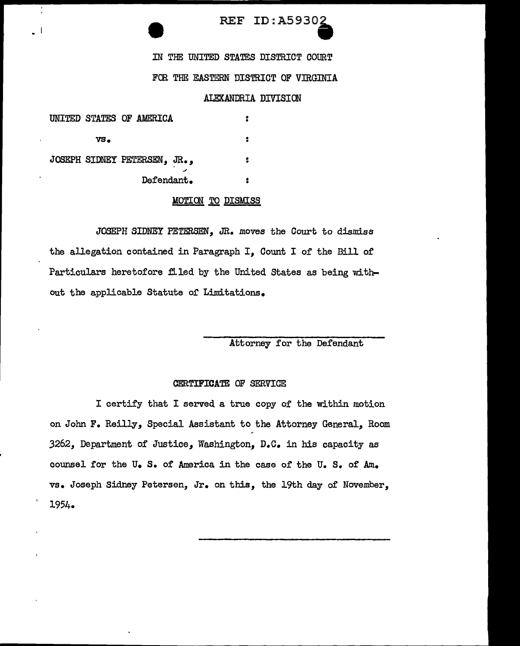# REF ID:A59302

IN THE UNITED STATES DISTRICT COURT

# FOR THE EASTERN DISTRICT OF VIRGINIA

### ALEXANDRIA DIVISION

|     | UNITED STATES OF AMERICA     |   |
|-----|------------------------------|---|
| VS. |                              |   |
|     | JOSEPH SIDNEY PETERSEN, JR., | 2 |
|     | Defendant.                   |   |

÷

 $\overline{\phantom{a}}$ .

#### MOTION TO DISMISS

JOSEPH SIDNEY PETERSEN, JR. *moves* the Court to dismiss the allegation contained in Paragraph *I,* Count I of the Bill of Particulars heretofore filed by the United States as being without the applicable Statute of Limitations.

### Attorney for the Defendant

#### CERTIFICATE OF SERVICE

I certify that I served a true copy of the within motion on John F. Reilly, Special Assistant to the Attorney General, Room 3262, Department of Justice, Washington, n.c. in his capacity as counsel for the u. s. of America in the case of the U. s. of Am. vs. Joseph Sidney Petersen, Jr. on this, the 19th day of November, 1954.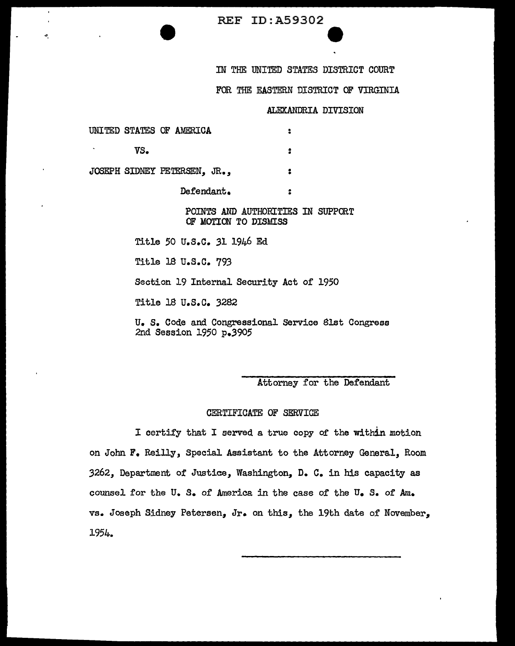REF ID:A59302

IN THE UNITED STATES DISTRICT COURT

FOR THE EASTERN DISTRICT OF VIRGINIA

ALEXANDRIA DIVISION

e

UNITED STATES OF AMERICA :

.,, '

vs. . .

JOSEPH SIDNEY PETERSEN, JR., • •

Defendant. . •

### POINTS AND AUTHORITIES IN SUPPORT OF MOTION TO DISMISS

Title 50 u.s.c. 31 1946 Ed

Title 18 u.s.c. 793

Section 19 Internal Security Act of 1950

Title 18 u.s.c. 32B2

u. s. Code and Congressional Service 8lst Congress 2nd Session 1950 p.3905

Attorney for the Defendant

### CERTIFICATE OF SERVICE

I certify that I served a true copy of the within motion on John F. Reilly, Special Assistant to the Attorney General, Room 3262,, Department of Justice,, Washington,, D. C. in his capacity as counsel for the U.S. of America in the case of the U.S. of Am. vs. Joseph Sidney Petersen, Jr. on this, the 19th date of November. 1954.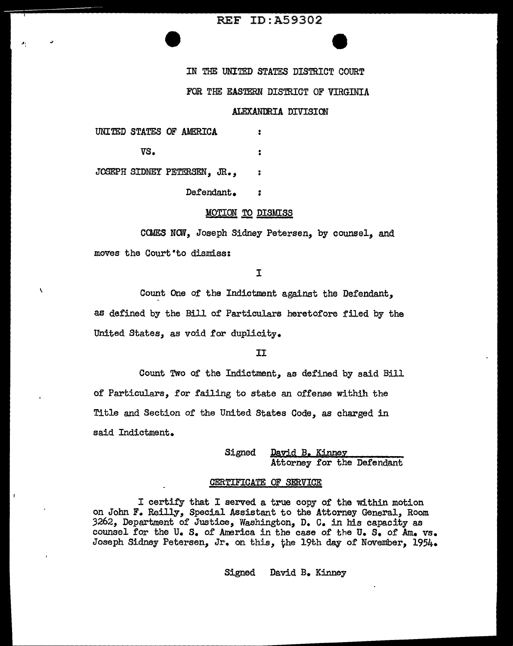### **REF ID: A59302**

IN THE UNITED STATES DISTRICT COURT

### FOR THE EASTERN DISTRICT OF VIRGINIA

### ALEXANDRIA DIVISION

|  | UNITED STATES OF AMERICA |  |
|--|--------------------------|--|
|  |                          |  |

...

\

vs.  $\ddot{\bm{z}}$ 

JOSEPH SIDNEY PETERSEN, JR.,

Defendant. :

### **MOTION TO DISMISS**

CCMES NCW, Joseph Sidney Petersen, by counsel, and moves the Court to dismiss:

I

Count One of the Indictment against the Defendant, as defined by the Bill of Particulars heretofore filed by the United States, as void for duplicity.

II

Count Two of the Indictment, as defined by said Bill of Particulars, for failing to state an offense withih the Title and Section of the United States Code, as charged in said Indictment.

> Signed David B. Kinney Attorney for the Defendant

#### CERTIFICATE OF SERVICE

I certify that I served a true copy of the within motion on John F. Reilly, Special Assistant to the Attorney General, Room 3262, Department of Justice, Washington, D, c. in his capacity as counsel for the U.S. of America in the case of the U.S. of Am. vs. Joseph Sidney Petersen, Jr. on this, the 19th day of November, 1954.

Signed David B, Kinney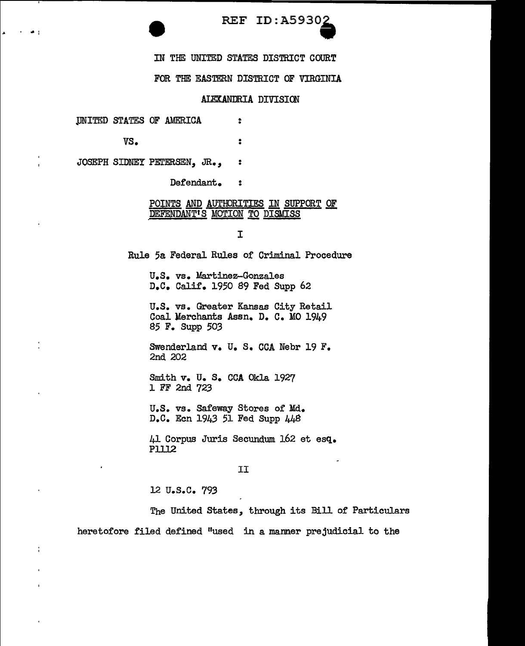# REF ID: A5930.

IN THE: UNITED STATES DISTRICT COURT

FOR THE EASTERN DISTRICT OF VIRGINIA

### ALEXANDRIA DIVISION

.

 $\ddot{\phantom{a}}$ 

UNITED STATES OF AMERICA

*vs.* 

I • :

÷

JOSEPH SIDNEY PETERSEN, JR., :

Defendant. :

### POINTS AND AUTHORITIES IN SUPPORT OF DEFENDANT'S MOTION TO DISMISS

I

Rule 5a Federal Rules of Criminal Procedure

u.s. vs. Martinez-Gonzales D.C. Calif. 1950 89 Fed Supp 62

U.S. vs. Greater Kansas City Retail Coal Merchants Assn. D. c. MO 1949 85 F. Supp 503

Swenderland v. U. S. CCA Nebr 19 F. 2nd 202

Smith v. U. s. CCA Okla 1927 1 FF 2nd 723

U.S. vs. Safeway Stores of Md. D.C. Ecn 1943 51 Fed Supp 448

41 Corpus Juris Secundum 162 et esq. Plll2

#### II

12 **U.S.C. 793** 

The United States, through its Bill of' Particulars heretofore filed defined "used in a manner prejudicial to the